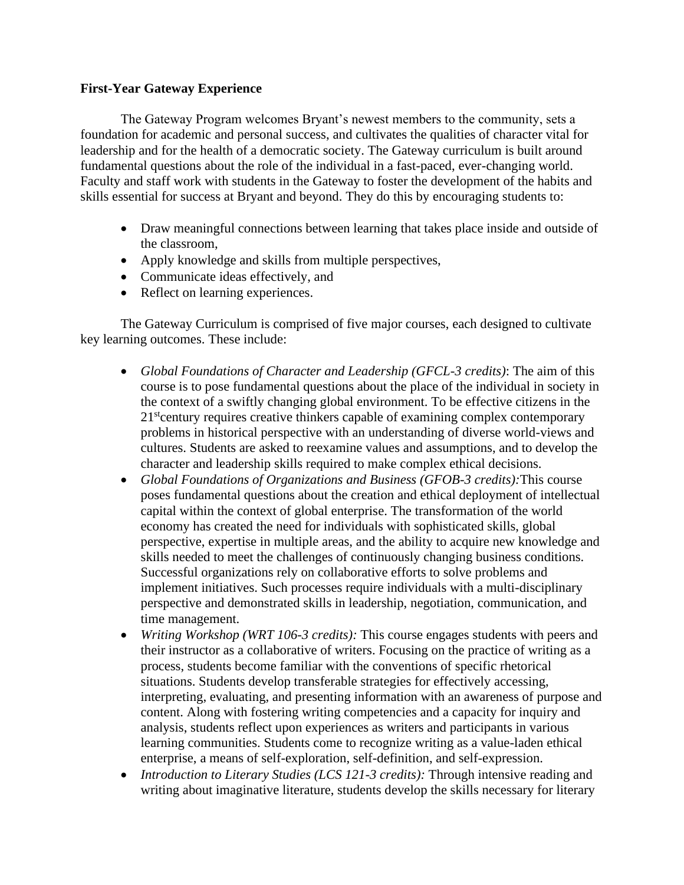## **First-Year Gateway Experience**

The Gateway Program welcomes Bryant's newest members to the community, sets a foundation for academic and personal success, and cultivates the qualities of character vital for leadership and for the health of a democratic society. The Gateway curriculum is built around fundamental questions about the role of the individual in a fast-paced, ever-changing world. Faculty and staff work with students in the Gateway to foster the development of the habits and skills essential for success at Bryant and beyond. They do this by encouraging students to:

- Draw meaningful connections between learning that takes place inside and outside of the classroom,
- Apply knowledge and skills from multiple perspectives,
- Communicate ideas effectively, and
- Reflect on learning experiences.

The Gateway Curriculum is comprised of five major courses, each designed to cultivate key learning outcomes. These include:

- *Global Foundations of Character and Leadership (GFCL-3 credits)*: The aim of this course is to pose fundamental questions about the place of the individual in society in the context of a swiftly changing global environment. To be effective citizens in the 21<sup>st</sup>century requires creative thinkers capable of examining complex contemporary problems in historical perspective with an understanding of diverse world-views and cultures. Students are asked to reexamine values and assumptions, and to develop the character and leadership skills required to make complex ethical decisions.
- *Global Foundations of Organizations and Business (GFOB-3 credits):*This course poses fundamental questions about the creation and ethical deployment of intellectual capital within the context of global enterprise. The transformation of the world economy has created the need for individuals with sophisticated skills, global perspective, expertise in multiple areas, and the ability to acquire new knowledge and skills needed to meet the challenges of continuously changing business conditions. Successful organizations rely on collaborative efforts to solve problems and implement initiatives. Such processes require individuals with a multi-disciplinary perspective and demonstrated skills in leadership, negotiation, communication, and time management.
- *Writing Workshop (WRT 106-3 credits):* This course engages students with peers and their instructor as a collaborative of writers. Focusing on the practice of writing as a process, students become familiar with the conventions of specific rhetorical situations. Students develop transferable strategies for effectively accessing, interpreting, evaluating, and presenting information with an awareness of purpose and content. Along with fostering writing competencies and a capacity for inquiry and analysis, students reflect upon experiences as writers and participants in various learning communities. Students come to recognize writing as a value-laden ethical enterprise, a means of self-exploration, self-definition, and self-expression.
- *Introduction to Literary Studies (LCS 121-3 credits):* Through intensive reading and writing about imaginative literature, students develop the skills necessary for literary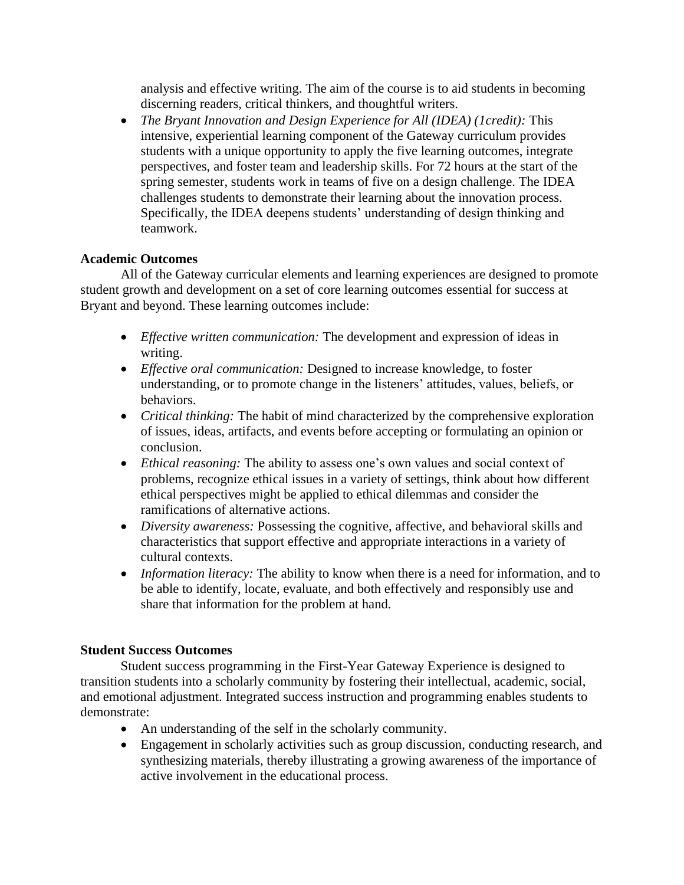analysis and effective writing. The aim of the course is to aid students in becoming discerning readers, critical thinkers, and thoughtful writers.

• *The Bryant Innovation and Design Experience for All (IDEA) (1credit):* This intensive, experiential learning component of the Gateway curriculum provides students with a unique opportunity to apply the five learning outcomes, integrate perspectives, and foster team and leadership skills. For 72 hours at the start of the spring semester, students work in teams of five on a design challenge. The IDEA challenges students to demonstrate their learning about the innovation process. Specifically, the IDEA deepens students' understanding of design thinking and teamwork.

## **Academic Outcomes**

All of the Gateway curricular elements and learning experiences are designed to promote student growth and development on a set of core learning outcomes essential for success at Bryant and beyond. These learning outcomes include:

- *Effective written communication:* The development and expression of ideas in writing.
- *Effective oral communication:* Designed to increase knowledge, to foster understanding, or to promote change in the listeners' attitudes, values, beliefs, or behaviors.
- *Critical thinking:* The habit of mind characterized by the comprehensive exploration of issues, ideas, artifacts, and events before accepting or formulating an opinion or conclusion.
- *Ethical reasoning:* The ability to assess one's own values and social context of problems, recognize ethical issues in a variety of settings, think about how different ethical perspectives might be applied to ethical dilemmas and consider the ramifications of alternative actions.
- *Diversity awareness:* Possessing the cognitive, affective, and behavioral skills and characteristics that support effective and appropriate interactions in a variety of cultural contexts.
- *Information literacy:* The ability to know when there is a need for information, and to be able to identify, locate, evaluate, and both effectively and responsibly use and share that information for the problem at hand.

## **Student Success Outcomes**

Student success programming in the First-Year Gateway Experience is designed to transition students into a scholarly community by fostering their intellectual, academic, social, and emotional adjustment. Integrated success instruction and programming enables students to demonstrate:

- An understanding of the self in the scholarly community.
- Engagement in scholarly activities such as group discussion, conducting research, and synthesizing materials, thereby illustrating a growing awareness of the importance of active involvement in the educational process.